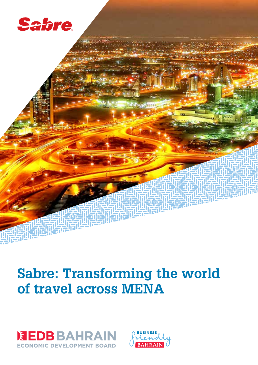

# **Sabre: Transforming the world of travel across MENA**



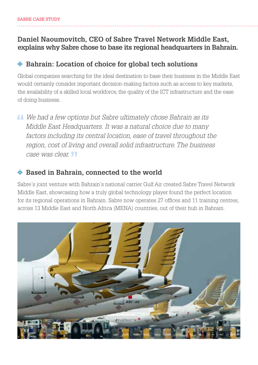# **Daniel Naoumovitch, CEO of Sabre Travel Network Middle East, explains why Sabre chose to base its regional headquarters in Bahrain.**

# **Bahrain: Location of choice for global tech solutions**

Global companies searching for the ideal destination to base their business in the Middle East would certainly consider important decision-making factors such as access to key markets, the availability of a skilled local workforce, the quality of the ICT infrastructure and the ease of doing business.

 *We had a few options but Sabre ultimately chose Bahrain as its Middle East Headquarters. It was a natural choice due to many factors including its central location, ease of travel throughout the region, cost of living and overall solid infrastructure. The business case was clear.* 

# *N* Based in Bahrain, connected to the world

Sabre's joint venture with Bahrain's national carrier Gulf Air created Sabre Travel Network Middle East, showcasing how a truly global technology player found the perfect location for its regional operations in Bahrain. Sabre now operates 27 offices and 11 training centres, across 13 Middle East and North Africa (MENA) countries, out of their hub in Bahrain.

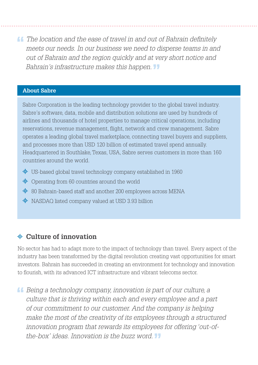*The location and the ease of travel in and out of Bahrain definitely meets our needs. In our business we need to disperse teams in and out of Bahrain and the region quickly and at very short notice and Bahrain's infrastructure makes this happen.* 

## **About Sabre**

Sabre Corporation is the leading technology provider to the global travel industry. Sabre's software, data, mobile and distribution solutions are used by hundreds of airlines and thousands of hotel properties to manage critical operations, including reservations, revenue management, flight, network and crew management. Sabre operates a leading global travel marketplace, connecting travel buyers and suppliers, and processes more than USD 120 billion of estimated travel spend annually. Headquartered in Southlake, Texas, USA, Sabre serves customers in more than 160 countries around the world.

- **业 US-based global travel technology company established in 1960**
- $\Psi$  Operating from 60 countries around the world
- 中 80 Bahrain-based staff and another 200 employees across MENA
- $\Psi$  NASDAQ listed company valued at USD 3.93 billion

# **Culture of innovation**

No sector has had to adapt more to the impact of technology than travel. Every aspect of the industry has been transformed by the digital revolution creating vast opportunities for smart investors. Bahrain has succeeded in creating an environment for technology and innovation to flourish, with its advanced ICT infrastructure and vibrant telecoms sector.

 *Being a technology company, innovation is part of our culture, a culture that is thriving within each and every employee and a part of our commitment to our customer. And the company is helping make the most of the creativity of its employees through a structured innovation program that rewards its employees for offering 'out-ofthe-box' ideas. Innovation is the buzz word.*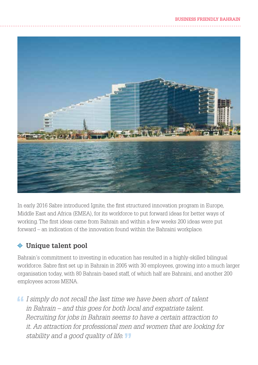

In early 2016 Sabre introduced Ignite, the first structured innovation program in Europe, Middle East and Africa (EMEA), for its workforce to put forward ideas for better ways of working. The first ideas came from Bahrain and within a few weeks 200 ideas were put forward – an indication of the innovation found within the Bahraini workplace.

# **Unique talent pool**

Bahrain's commitment to investing in education has resulted in a highly-skilled bilingual workforce. Sabre first set up in Bahrain in 2005 with 30 employees, growing into a much larger organisation today, with 80 Bahrain-based staff, of which half are Bahraini, and another 200 employees across MENA.

 *I simply do not recall the last time we have been short of talent in Bahrain – and this goes for both local and expatriate talent. Recruiting for jobs in Bahrain seems to have a certain attraction to it. An attraction for professional men and women that are looking for stability and a good quality of life.*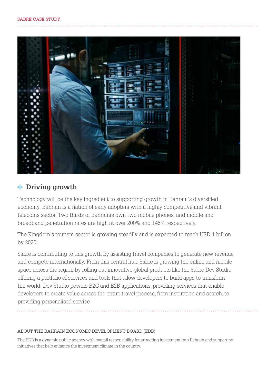

## **Driving growth**

Technology will be the key ingredient to supporting growth in Bahrain's diversified economy. Bahrain is a nation of early adopters with a highly competitive and vibrant telecoms sector. Two thirds of Bahrainis own two mobile phones, and mobile and broadband penetration rates are high at over 200% and 145% respectively.

The Kingdom's tourism sector is growing steadily and is expected to reach USD 1 billion by 2020.

Sabre is contributing to this growth by assisting travel companies to generate new revenue and compete internationally. From this central hub, Sabre is growing the online and mobile space across the region by rolling out innovative global products like the Sabre Dev Studio, offering a portfolio of services and tools that allow developers to build apps to transform the world. Dev Studio powers B2C and B2B applications, providing services that enable developers to create value across the entire travel process, from inspiration and search, to providing personalised service.

### ABOUT THE BAHRAIN ECONOMIC DEVELOPMENT BOARD (EDB)

The EDB is a dynamic public agency with overall responsibility for attracting investment into Bahrain and supporting initiatives that help enhance the investment climate in the country.